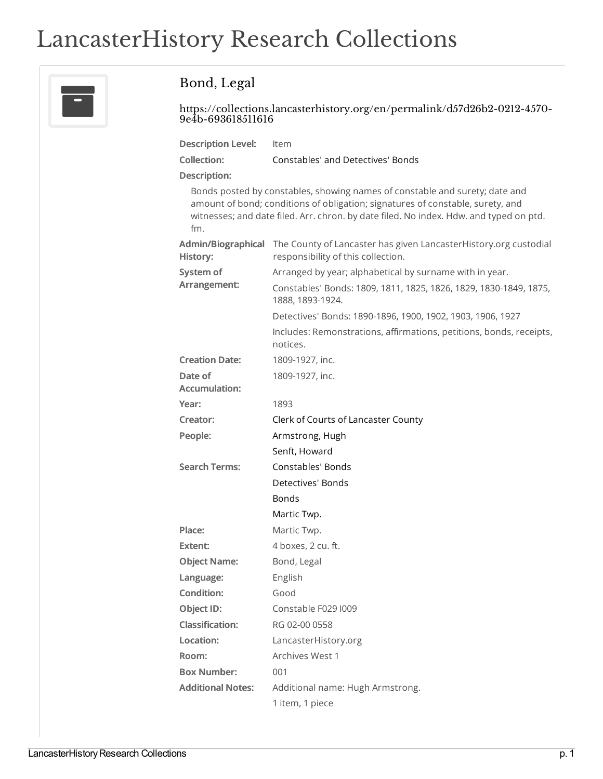## LancasterHistory Research Collections



## Bond, Legal

[https://collections.lancasterhistory.org/en/permalink/d57d26b2-0212-4570-](https://collections.lancasterhistory.org/en/permalink/d57d26b2-0212-4570-9e4b-693618511616) 9e4b-693618511616

| <b>Description Level:</b> | Item                              |
|---------------------------|-----------------------------------|
| Collection:               | Constables' and Detectives' Bonds |

**Description:**

Bonds posted by constables, showing names of constable and surety; date and amount of bond; conditions of obligation; signatures of constable, surety, and witnesses; and date filed. Arr. chron. by date filed. No index. Hdw. and typed on ptd. fm.

| History:                        | Admin/Biographical The County of Lancaster has given LancasterHistory.org custodial<br>responsibility of this collection. |
|---------------------------------|---------------------------------------------------------------------------------------------------------------------------|
| System of<br>Arrangement:       | Arranged by year; alphabetical by surname with in year.                                                                   |
|                                 | Constables' Bonds: 1809, 1811, 1825, 1826, 1829, 1830-1849, 1875,<br>1888, 1893-1924.                                     |
|                                 | Detectives' Bonds: 1890-1896, 1900, 1902, 1903, 1906, 1927                                                                |
|                                 | Includes: Remonstrations, affirmations, petitions, bonds, receipts,<br>notices.                                           |
| <b>Creation Date:</b>           | 1809-1927, inc.                                                                                                           |
| Date of<br><b>Accumulation:</b> | 1809-1927, inc.                                                                                                           |
| Year:                           | 1893                                                                                                                      |
| Creator:                        | Clerk of Courts of Lancaster County                                                                                       |
| People:                         | Armstrong, Hugh                                                                                                           |
|                                 | Senft, Howard                                                                                                             |
| <b>Search Terms:</b>            | Constables' Bonds                                                                                                         |
|                                 | Detectives' Bonds                                                                                                         |
|                                 | Bonds                                                                                                                     |
|                                 | Martic Twp.                                                                                                               |
| Place:                          | Martic Twp.                                                                                                               |
| Extent:                         | 4 boxes, 2 cu. ft.                                                                                                        |
| <b>Object Name:</b>             | Bond, Legal                                                                                                               |
| Language:                       | English                                                                                                                   |
| <b>Condition:</b>               | Good                                                                                                                      |
| Object ID:                      | Constable F029 I009                                                                                                       |
| <b>Classification:</b>          | RG 02-00 0558                                                                                                             |
| Location:                       | LancasterHistory.org                                                                                                      |
| Room:                           | Archives West 1                                                                                                           |
| <b>Box Number:</b>              | 001                                                                                                                       |
| <b>Additional Notes:</b>        | Additional name: Hugh Armstrong.                                                                                          |
|                                 | 1 item, 1 piece                                                                                                           |